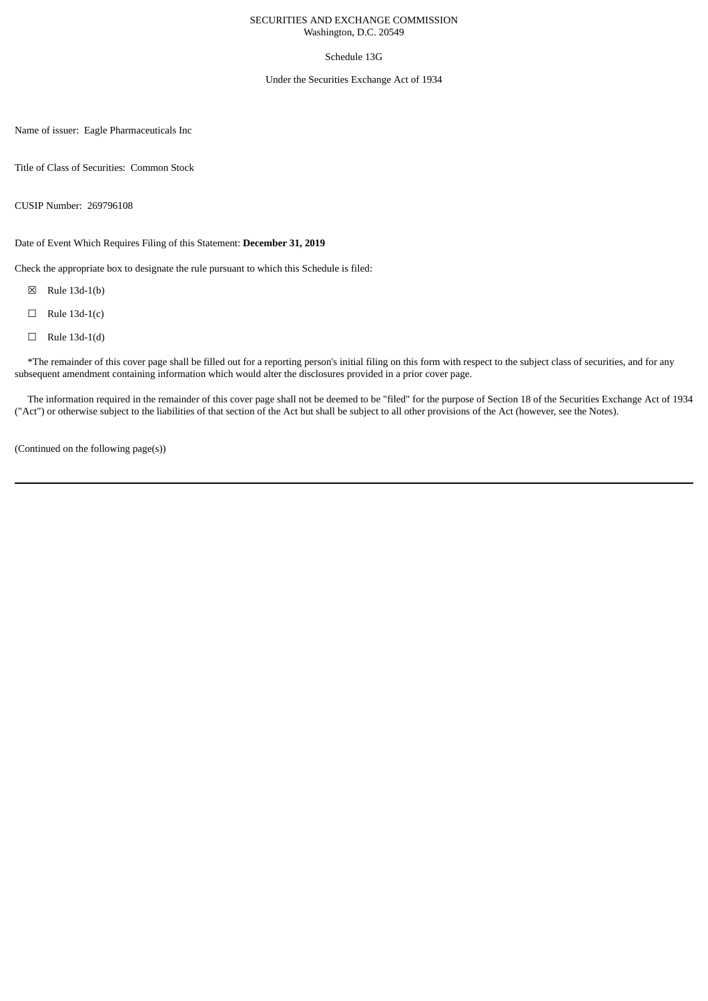### SECURITIES AND EXCHANGE COMMISSION Washington, D.C. 20549

## Schedule 13G

### Under the Securities Exchange Act of 1934

Name of issuer: Eagle Pharmaceuticals Inc

Title of Class of Securities: Common Stock

CUSIP Number: 269796108

Date of Event Which Requires Filing of this Statement: **December 31, 2019**

Check the appropriate box to designate the rule pursuant to which this Schedule is filed:

- ☒ Rule 13d-1(b)
- $\Box$  Rule 13d-1(c)
- $\Box$  Rule 13d-1(d)

\*The remainder of this cover page shall be filled out for a reporting person's initial filing on this form with respect to the subject class of securities, and for any subsequent amendment containing information which would alter the disclosures provided in a prior cover page.

The information required in the remainder of this cover page shall not be deemed to be "filed" for the purpose of Section 18 of the Securities Exchange Act of 1934 ("Act") or otherwise subject to the liabilities of that section of the Act but shall be subject to all other provisions of the Act (however, see the Notes).

(Continued on the following page(s))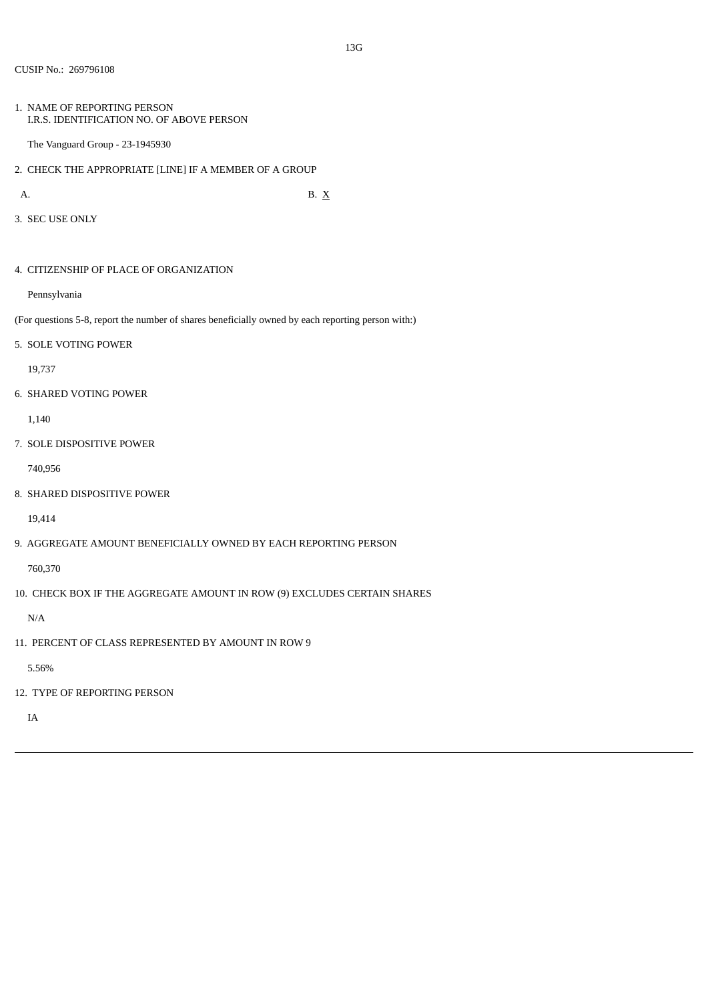1. NAME OF REPORTING PERSON I.R.S. IDENTIFICATION NO. OF ABOVE PERSON

The Vanguard Group - 23-1945930

2. CHECK THE APPROPRIATE [LINE] IF A MEMBER OF A GROUP

A. B.  $X$ 

3. SEC USE ONLY

4. CITIZENSHIP OF PLACE OF ORGANIZATION

Pennsylvania

(For questions 5-8, report the number of shares beneficially owned by each reporting person with:)

5. SOLE VOTING POWER

19,737

6. SHARED VOTING POWER

1,140

7. SOLE DISPOSITIVE POWER

740,956

8. SHARED DISPOSITIVE POWER

19,414

9. AGGREGATE AMOUNT BENEFICIALLY OWNED BY EACH REPORTING PERSON

760,370

10. CHECK BOX IF THE AGGREGATE AMOUNT IN ROW (9) EXCLUDES CERTAIN SHARES

N/A

11. PERCENT OF CLASS REPRESENTED BY AMOUNT IN ROW 9

5.56%

12. TYPE OF REPORTING PERSON

IA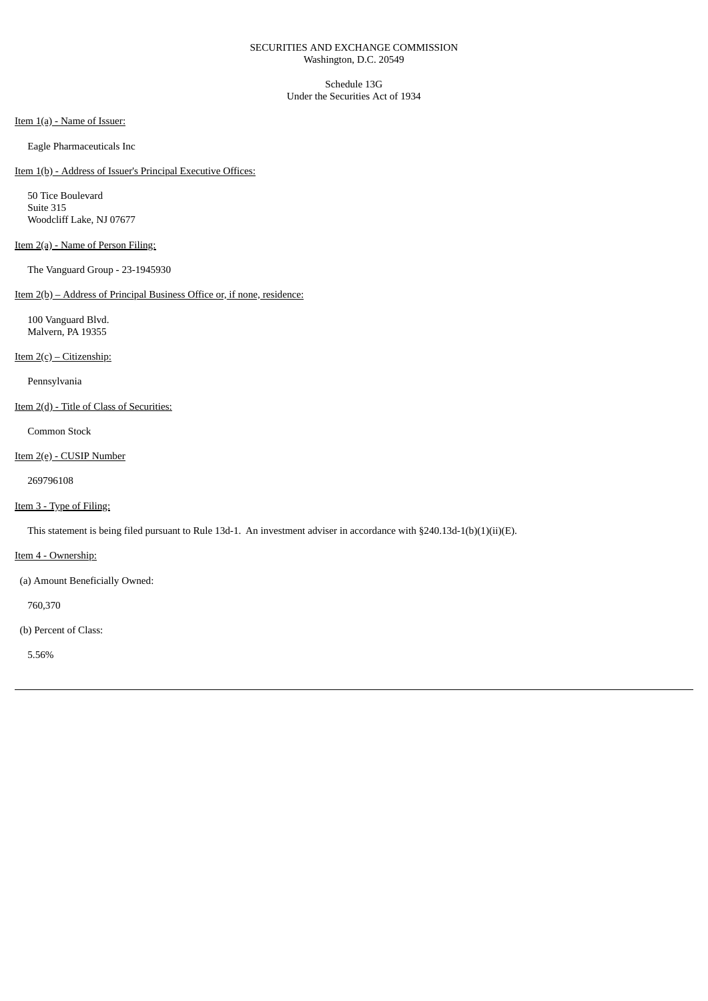### SECURITIES AND EXCHANGE COMMISSION Washington, D.C. 20549

Schedule 13G Under the Securities Act of 1934

Item 1(a) - Name of Issuer:

Eagle Pharmaceuticals Inc

Item 1(b) - Address of Issuer's Principal Executive Offices:

50 Tice Boulevard Suite 315 Woodcliff Lake, NJ 07677

# Item 2(a) - Name of Person Filing:

The Vanguard Group - 23-1945930

## Item 2(b) – Address of Principal Business Office or, if none, residence:

100 Vanguard Blvd. Malvern, PA 19355

## Item 2(c) – Citizenship:

Pennsylvania

## Item 2(d) - Title of Class of Securities:

Common Stock

## Item 2(e) - CUSIP Number

269796108

# Item 3 - Type of Filing:

This statement is being filed pursuant to Rule 13d-1. An investment adviser in accordance with §240.13d-1(b)(1)(ii)(E).

## Item 4 - Ownership:

(a) Amount Beneficially Owned:

760,370

# (b) Percent of Class:

5.56%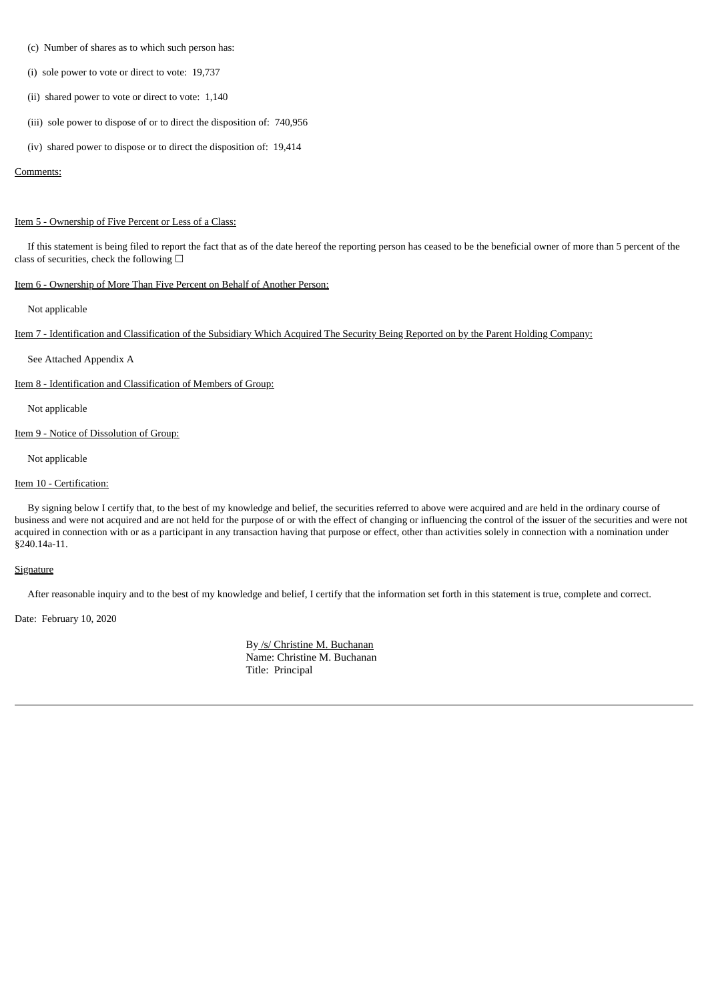- (c) Number of shares as to which such person has:
- (i) sole power to vote or direct to vote: 19,737
- (ii) shared power to vote or direct to vote: 1,140
- (iii) sole power to dispose of or to direct the disposition of: 740,956
- (iv) shared power to dispose or to direct the disposition of: 19,414

#### Comments:

#### Item 5 - Ownership of Five Percent or Less of a Class:

If this statement is being filed to report the fact that as of the date hereof the reporting person has ceased to be the beneficial owner of more than 5 percent of the class of securities, check the following  $\Box$ 

## Item 6 - Ownership of More Than Five Percent on Behalf of Another Person:

Not applicable

Item 7 - Identification and Classification of the Subsidiary Which Acquired The Security Being Reported on by the Parent Holding Company:

See Attached Appendix A

Item 8 - Identification and Classification of Members of Group:

Not applicable

Item 9 - Notice of Dissolution of Group:

Not applicable

### Item 10 - Certification:

By signing below I certify that, to the best of my knowledge and belief, the securities referred to above were acquired and are held in the ordinary course of business and were not acquired and are not held for the purpose of or with the effect of changing or influencing the control of the issuer of the securities and were not acquired in connection with or as a participant in any transaction having that purpose or effect, other than activities solely in connection with a nomination under §240.14a-11.

#### **Signature**

After reasonable inquiry and to the best of my knowledge and belief, I certify that the information set forth in this statement is true, complete and correct.

Date: February 10, 2020

By /s/ Christine M. Buchanan Name: Christine M. Buchanan Title: Principal